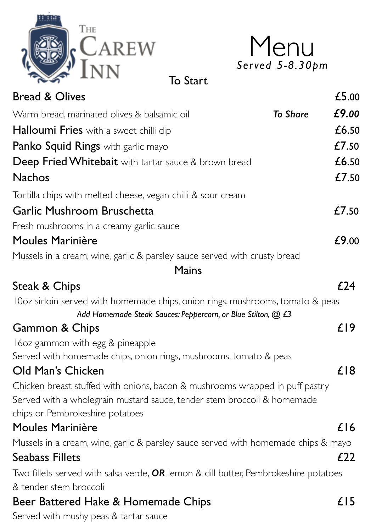

| Menu            |
|-----------------|
| Served 5-8.30pm |

To Start

| <b>Bread &amp; Olives</b>                                                                                                                      |  | £5.00  |
|------------------------------------------------------------------------------------------------------------------------------------------------|--|--------|
| Warm bread, marinated olives & balsamic oil<br><b>To Share</b>                                                                                 |  |        |
| Halloumi Fries with a sweet chilli dip                                                                                                         |  | £6.50  |
| Panko Squid Rings with garlic mayo                                                                                                             |  | £7.50  |
| <b>Deep Fried Whitebait</b> with tartar sauce & brown bread                                                                                    |  | £6.50  |
| <b>Nachos</b>                                                                                                                                  |  | £7.50  |
| Tortilla chips with melted cheese, vegan chilli & sour cream                                                                                   |  |        |
| Garlic Mushroom Bruschetta                                                                                                                     |  | £7.50  |
| Fresh mushrooms in a creamy garlic sauce                                                                                                       |  |        |
| <b>Moules Marinière</b>                                                                                                                        |  | £9.00  |
| Mussels in a cream, wine, garlic & parsley sauce served with crusty bread                                                                      |  |        |
| Mains                                                                                                                                          |  |        |
| <b>Steak &amp; Chips</b>                                                                                                                       |  | £24    |
| 10oz sirloin served with homemade chips, onion rings, mushrooms, tomato & peas<br>Add Homemade Steak Sauces: Peppercorn, or Blue Stilton, @ £3 |  |        |
| <b>Gammon &amp; Chips</b>                                                                                                                      |  | $£$  9 |
| 160z gammon with egg & pineapple                                                                                                               |  |        |
| Served with homemade chips, onion rings, mushrooms, tomato & peas                                                                              |  |        |
| Old Man's Chicken                                                                                                                              |  | £18    |
| Chicken breast stuffed with onions, bacon & mushrooms wrapped in puff pastry                                                                   |  |        |
| Served with a wholegrain mustard sauce, tender stem broccoli & homemade                                                                        |  |        |
| chips or Pembrokeshire potatoes                                                                                                                |  |        |
| Moules Marinière                                                                                                                               |  | £l6    |
| Mussels in a cream, wine, garlic & parsley sauce served with homemade chips & mayo                                                             |  |        |
| <b>Seabass Fillets</b>                                                                                                                         |  | £22    |
| Two fillets served with salsa verde, $OR$ lemon & dill butter, Pembrokeshire potatoes                                                          |  |        |
| & tender stem broccoli                                                                                                                         |  |        |
| Beer Battered Hake & Homemade Chips                                                                                                            |  | £15    |
| Served with mushy peas & tartar sauce                                                                                                          |  |        |